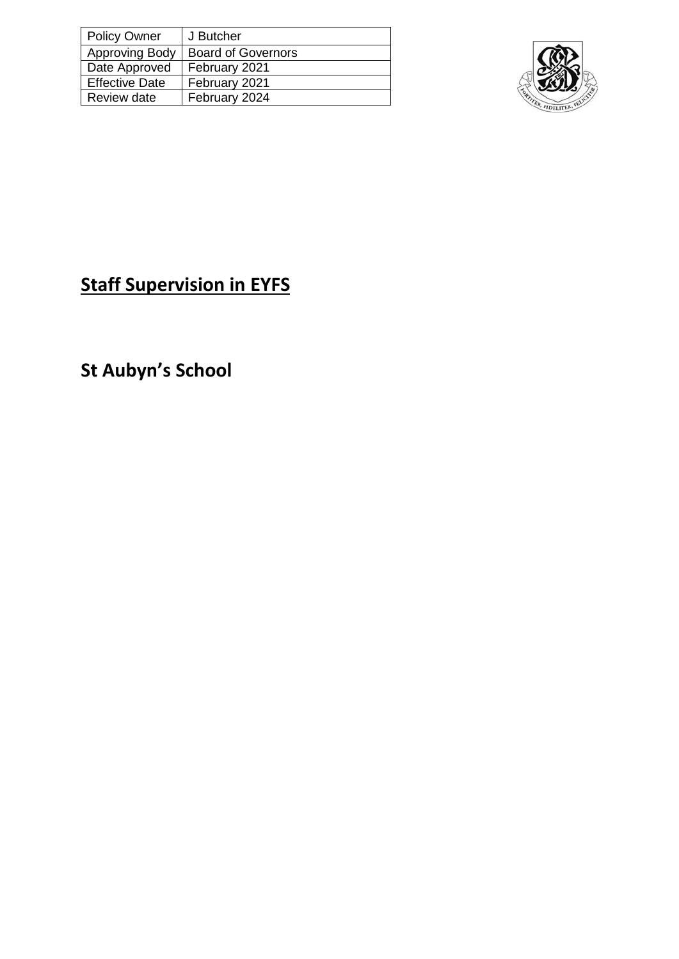| <b>Policy Owner</b>   | J Butcher                 |
|-----------------------|---------------------------|
| <b>Approving Body</b> | <b>Board of Governors</b> |
| Date Approved         | February 2021             |
| <b>Effective Date</b> | February 2021             |
| Review date           | February 2024             |



## **Staff Supervision in EYFS**

**St Aubyn's School**